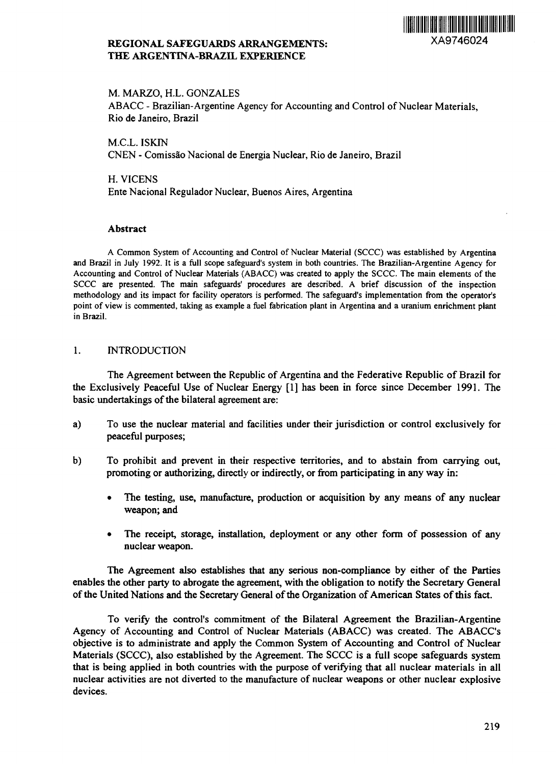

# REGIONAL SAFEGUARDS ARRANGEMENTS: XA9746024 THE ARGENTINA-BRAZIL EXPERIENCE

## M. MARZO, H.L. GONZALES ABACC - Brazilian-Argentine Agency for Accounting and Control of Nuclear Materials, Rio de Janeiro, Brazil

M.C.L. ISKIN CNEN - Comissao Nacional de Energia Nuclear, Rio de Janeiro, Brazil

H. VICENS Ente Nacional Regulador Nuclear, Buenos Aires, Argentina

### Abstract

A Common System of Accounting and Control of Nuclear Material (SCCC) was established by Argentina and Brazil in July 1992. It is a full scope safeguard's system in both countries. The Brazilian-Argentine Agency for Accounting and Control of Nuclear Materials (ABACC) was created to apply the SCCC. The main elements of the SCCC are presented. The main safeguards' procedures are described. A brief discussion of the inspection methodology and its impact for facility operators is performed. The safeguard's implementation from the operator's point of view is commented, taking as example a fuel fabrication plant in Argentina and a uranium enrichment plant in Brazil.

## 1. INTRODUCTION

The Agreement between the Republic of Argentina and the Federative Republic of Brazil for the Exclusively Peaceful Use of Nuclear Energy [1] has been in force since December 1991. The basic undertakings of the bilateral agreement are:

- a) To use the nuclear material and facilities under their jurisdiction or control exclusively for peaceful purposes;
- b) To prohibit and prevent in their respective territories, and to abstain from carrying out, promoting or authorizing, directly or indirectly, or from participating in any way in:
	- The testing, use, manufacture, production or acquisition by any means of any nuclear weapon; and
	- The receipt, storage, installation, deployment or any other form of possession of any nuclear weapon.

The Agreement also establishes that any serious non-compliance by either of the Parties enables the other party to abrogate the agreement, with the obligation to notify the Secretary General of the United Nations and the Secretary General of the Organization of American States of this fact.

To verify the control's commitment of the Bilateral Agreement the Brazilian-Argentine Agency of Accounting and Control of Nuclear Materials (ABACC) was created. The ABACC's objective is to administrate and apply the Common System of Accounting and Control of Nuclear Materials (SCCC), also established by the Agreement. The SCCC is a full scope safeguards system that is being applied in both countries with the purpose of verifying that all nuclear materials in all nuclear activities are not diverted to the manufacture of nuclear weapons or other nuclear explosive devices.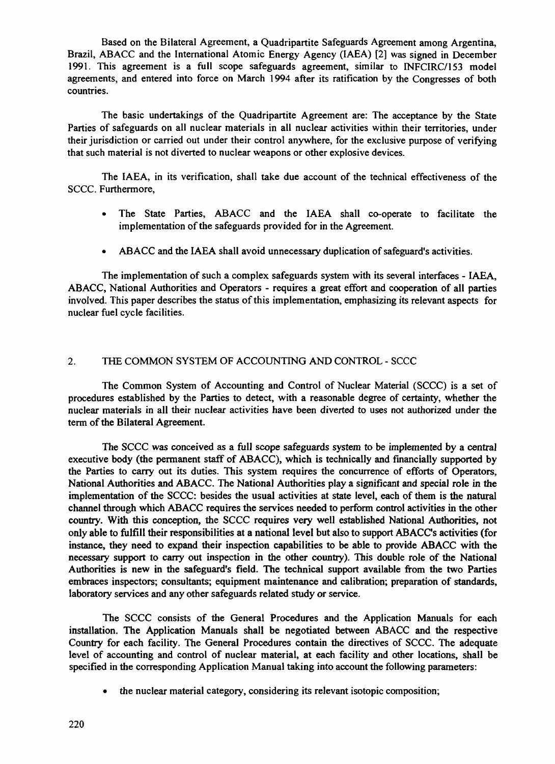Based on the Bilateral Agreement, a Quadripartite Safeguards Agreement among Argentina, Brazil, ABACC and the International Atomic Energy Agency (IAEA) [2] was signed in December 1991. This agreement is a full scope safeguards agreement, similar to INFCIRC/153 model agreements, and entered into force on March 1994 after its ratification by the Congresses of both countries.

The basic undertakings of the Quadripartite Agreement are: The acceptance by the State Parties of safeguards on all nuclear materials in all nuclear activities within their territories, under their jurisdiction or carried out under their control anywhere, for the exclusive purpose of verifying that such material is not diverted to nuclear weapons or other explosive devices.

The IAEA, in its verification, shall take due account of the technical effectiveness of the SCCC. Furthermore,

- The State Parties, ABACC and the IAEA shall co-operate to facilitate the implementation of the safeguards provided for in the Agreement.
- ABACC and the IAEA shall avoid unnecessary duplication of safeguard's activities.

The implementation of such a complex safeguards system with its several interfaces - IAEA, ABACC, National Authorities and Operators - requires a great effort and cooperation of all parties involved. This paper describes the status of this implementation, emphasizing its relevant aspects for nuclear fuel cycle facilities.

## 2. THE COMMON SYSTEM OF ACCOUNTING AND CONTROL - SCCC

The Common System of Accounting and Control of Nuclear Material (SCCC) is a set of procedures established by the Parties to detect, with a reasonable degree of certainty, whether the nuclear materials in all their nuclear activities have been diverted to uses not authorized under the term of the Bilateral Agreement.

The SCCC was conceived as a full scope safeguards system to be implemented by a central executive body (the permanent staff of ABACC), which is technically and financially supported by the Parties to carry out its duties. This system requires the concurrence of efforts of Operators, National Authorities and ABACC. The National Authorities play a significant and special role in the implementation of the SCCC: besides the usual activities at state level, each of them is the natural channel through which ABACC requires the services needed to perform control activities in the other country. With this conception, the SCCC requires very well established National Authorities, not only able to fulfill their responsibilities at a national level but also to support ABACC's activities (for instance, they need to expand their inspection capabilities to be able to provide ABACC with the necessary support to carry out inspection in the other country). This double role of the National Authorities is new in the safeguard's field. The technical support available from the two Parties embraces inspectors; consultants; equipment maintenance and calibration; preparation of standards, laboratory services and any other safeguards related study or service.

The SCCC consists of the General Procedures and the Application Manuals for each installation. The Application Manuals shall be negotiated between ABACC and the respective Country for each facility. The General Procedures contain the directives of SCCC. The adequate level of accounting and control of nuclear material, at each facility and other locations, shall be specified in the corresponding Application Manual taking into account the following parameters:

the nuclear material category, considering its relevant isotopic composition;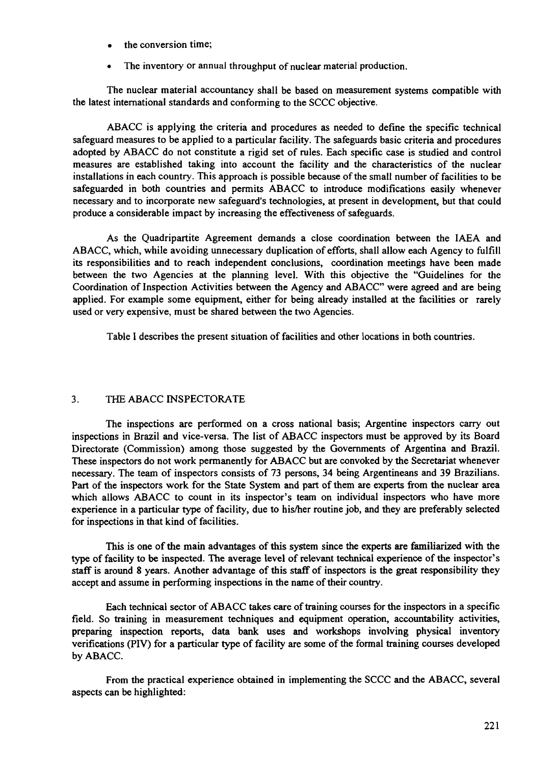- the conversion time;
- The inventory or annual throughput of nuclear material production.

The nuclear material accountancy shall be based on measurement systems compatible with the latest international standards and conforming to the SCCC objective.

ABACC is applying the criteria and procedures as needed to define the specific technical safeguard measures to be applied to a particular facility. The safeguards basic criteria and procedures adopted by ABACC do not constitute a rigid set of rules. Each specific case is studied and control measures are established taking into account the facility and the characteristics of the nuclear installations in each country. This approach is possible because of the small number of facilities to be safeguarded in both countries and permits ABACC to introduce modifications easily whenever necessary and to incorporate new safeguard's technologies, at present in development, but that could produce a considerable impact by increasing the effectiveness of safeguards.

As the Quadripartite Agreement demands a close coordination between the IAEA and ABACC, which, while avoiding unnecessary duplication of efforts, shall allow each Agency to fulfill its responsibilities and to reach independent conclusions, coordination meetings have been made between the two Agencies at the planning level. With this objective the "Guidelines for the Coordination of Inspection Activities between the Agency and ABACC" were agreed and are being applied. For example some equipment, either for being already installed at the facilities or rarely used or very expensive, must be shared between the two Agencies.

Table I describes the present situation of facilities and other locations in both countries.

## 3. THE ABACC INSPECTORATE

The inspections are performed on a cross national basis; Argentine inspectors carry out inspections in Brazil and vice-versa. The list of ABACC inspectors must be approved by its Board Directorate (Commission) among those suggested by the Governments of Argentina and Brazil. These inspectors do not work permanently for ABACC but are convoked by the Secretariat whenever necessary. The team of inspectors consists of 73 persons, 34 being Argentineans and 39 Brazilians. Part of the inspectors work for the State System and part of them are experts from the nuclear area which allows ABACC to count in its inspector's team on individual inspectors who have more experience in a particular type of facility, due to his/her routine job, and they are preferably selected for inspections in that kind of facilities.

This is one of the main advantages of this system since the experts are familiarized with the type of facility to be inspected. The average level of relevant technical experience of the inspector's staff is around 8 years. Another advantage of this staff of inspectors is the great responsibility they accept and assume in performing inspections in the name of their country.

Each technical sector of ABACC takes care of training courses for the inspectors in a specific field. So training in measurement techniques and equipment operation, accountability activities, preparing inspection reports, data bank uses and workshops involving physical inventory verifications (PIV) for a particular type of facility are some of the formal training courses developed by ABACC.

From the practical experience obtained in implementing the SCCC and the ABACC, several aspects can be highlighted: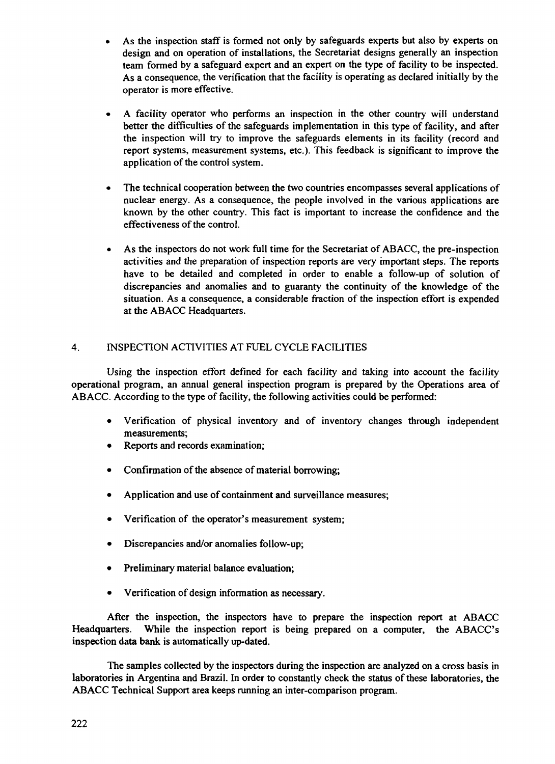- As the inspection staff is formed not only by safeguards experts but also by experts on design and on operation of installations, the Secretariat designs generally an inspection team formed by a safeguard expert and an expert on the type of facility to be inspected. As a consequence, the verification that the facility is operating as declared initially by the operator is more effective.
- A facility operator who performs an inspection in the other country will understand  $\bullet$ better the difficulties of the safeguards implementation in this type of facility, and after the inspection will try to improve the safeguards elements in its facility (record and report systems, measurement systems, etc.). This feedback is significant to improve the application of the control system.
- The technical cooperation between the two countries encompasses several applications of  $\bullet$ nuclear energy. As a consequence, the people involved in the various applications are known by the other country. This fact is important to increase the confidence and the effectiveness of the control.
- As the inspectors do not work full time for the Secretariat of ABACC, the pre-inspection  $\bullet$ activities and the preparation of inspection reports are very important steps. The reports have to be detailed and completed in order to enable a follow-up of solution of discrepancies and anomalies and to guaranty the continuity of the knowledge of the situation. As a consequence, a considerable fraction of the inspection effort is expended at the ABACC Headquarters.

## 4. INSPECTION ACTIVITIES AT FUEL CYCLE FACILITIES

Using the inspection effort defined for each facility and taking into account the facility operational program, an annual general inspection program is prepared by the Operations area of ABACC. According to the type of facility, the following activities could be performed:

- Verification of physical inventory and of inventory changes through independent measurements;
- Reports and records examination; • Reports and records examination;
- Confirmation of the absence of material borrowing;  $\bullet$  $\mathcal{L}_{\mathcal{A}}$  absonce of the absence of material borrowing;
- $\bullet$  $\mathcal{A}$  and use of containing and surveillance measures;  $\mathcal{A}$
- Verification of the operator's measurement system; • Verification of the operator's measurement system;
- Discrepancies and/or anomalies follow-up;  $\bullet$ • Discrepancies and/or anomalies follow-up;
- Preliminary material balance evaluation;  $\bullet$ • Preliminary material balance evaluation;
- Verification of design information as necessary.  $\mathcal{L}$  is design information as necessary.

After the inspection, the inspectors have to prepare the inspection report at ABACC Headquarters. While the inspection report is being prepared on a computer, the ABACC's inspection data bank is automatically up-dated.

The samples collected by the inspectors during the inspection are analyzed on a cross basis in laboratories in Argentina and Brazil. In order to constantly check the status of these laboratories, the ABACC Technical Support area keeps running an inter-comparison program.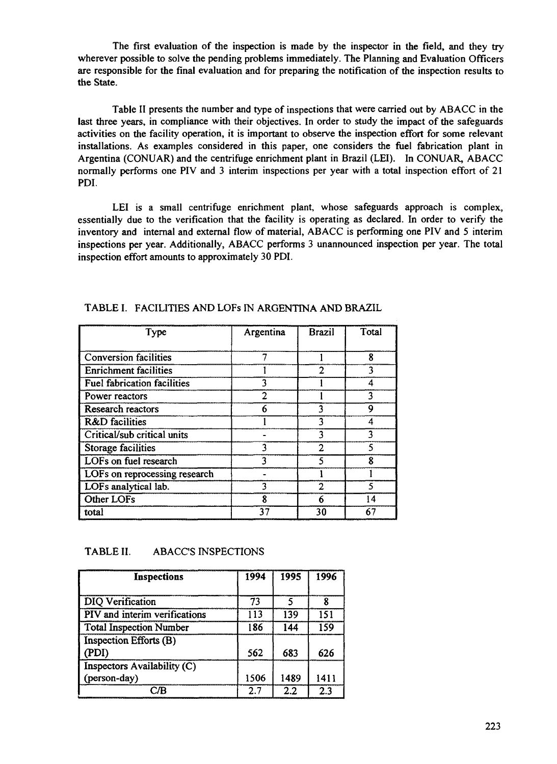The first evaluation of the inspection is made by the inspector in the field, and they try wherever possible to solve the pending problems immediately. The Planning and Evaluation Officers are responsible for the final evaluation and for preparing the notification of the inspection results to the State.

Table II presents the number and type of inspections that were carried out by ABACC in the last three years, in compliance with their objectives. In order to study the impact of the safeguards activities on the facility operation, it is important to observe the inspection effort for some relevant installations. As examples considered in this paper, one considers the fuel fabrication plant in Argentina (CONUAR) and the centrifuge enrichment plant in Brazil (LEI). In CONUAR, ABACC normally performs one PIV and 3 interim inspections per year with a total inspection effort of 21 PDI.

LEI is a small centrifuge enrichment plant, whose safeguards approach is complex, essentially due to the verification that the facility is operating as declared. In order to verify the inventory and internal and external flow of material, ABACC is performing one PIV and 5 interim inspections per year. Additionally, ABACC performs 3 unannounced inspection per year. The total inspection effort amounts to approximately 30 PDI.

| Type                               | Argentina | <b>Brazil</b> | Total |
|------------------------------------|-----------|---------------|-------|
|                                    |           |               |       |
| <b>Conversion facilities</b>       |           |               | ጸ     |
| <b>Enrichment facilities</b>       |           |               |       |
| <b>Fuel fabrication facilities</b> |           |               |       |
| Power reactors                     |           |               |       |
| <b>Research reactors</b>           |           |               | о     |
| <b>R&amp;D</b> facilities          |           |               |       |
| Critical/sub critical units        |           |               |       |
| Storage facilities                 |           | 7             |       |
| LOFs on fuel research              |           |               |       |
| LOFs on reprocessing research      |           |               |       |
| LOFs analytical lab.               |           |               |       |
| Other LOFs                         |           |               | 4     |
| total                              |           | 30            | 61    |

## TABLE I. FACILITIES AND LOFs IN ARGENTINA AND BRAZIL

## TABLE II. ABACC'S INSPECTIONS

| Inspections                     | 1994 | 1995 | 1996 |
|---------------------------------|------|------|------|
| DIQ Verification                | 73   | c    | x    |
| PIV and interim verifications   | 113  | 139  | 151  |
| <b>Total Inspection Number</b>  | 186  | 144  | 159  |
| Inspection Efforts (B)<br>(PDI) | 562  | 683  | 626  |
| Inspectors Availability (C)     |      |      |      |
| (person-day)                    | 1506 | 1489 | 1411 |
|                                 | 2.7  | 22   | 2.3  |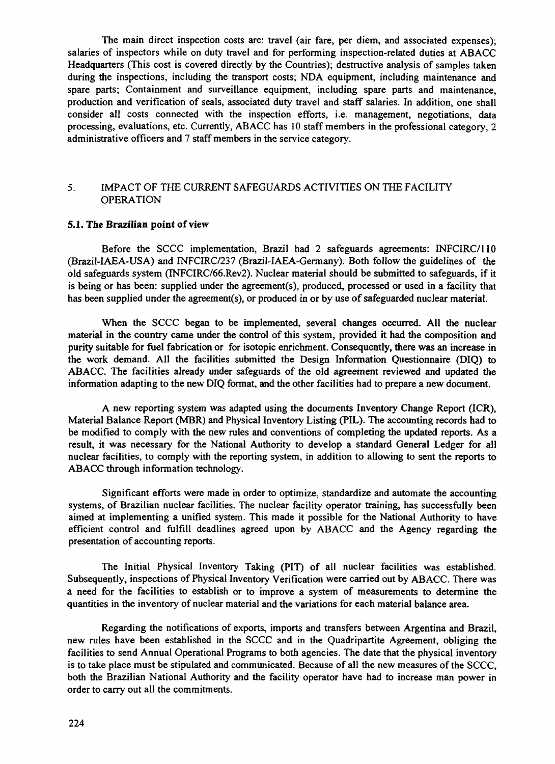The main direct inspection costs are: travel (air fare, per diem, and associated expenses); salaries of inspectors while on duty travel and for performing inspection-related duties at ABACC Headquarters (This cost is covered directly by the Countries); destructive analysis of samples taken during the inspections, including the transport costs; NDA equipment, including maintenance and spare parts; Containment and surveillance equipment, including spare parts and maintenance, production and verification of seals, associated duty travel and staff salaries. In addition, one shall consider all costs connected with the inspection efforts, i.e. management, negotiations, data processing, evaluations, etc. Currently, ABACC has 10 staff members in the professional category, 2 administrative officers and 7 staff members in the service category.

## 5. IMPACT OF THE CURRENT SAFEGUARDS ACTIVITIES ON THE FACILITY OPERATION

#### **5.1. The Brazilian point of** view

Before the SCCC implementation, Brazil had 2 safeguards agreements: INFCIRC/110 (Brazil-IAEA-USA) and INFCIRC/237 (Brazil-IAEA-Germany). Both follow the guidelines of the old safeguards system (INFCIRC/66.Rev2). Nuclear material should be submitted to safeguards, if it is being or has been: supplied under the agreement(s), produced, processed or used in a facility that has been supplied under the agreement(s), or produced in or by use of safeguarded nuclear material.

When the SCCC began to be implemented, several changes occurred. All the nuclear material in the country came under the control of this system, provided it had the composition and purity suitable for fuel fabrication or for isotopic enrichment. Consequently, there was an increase in the work demand. All the facilities submitted the Design Information Questionnaire (DIQ) to ABACC. The facilities already under safeguards of the old agreement reviewed and updated the information adapting to the new DIQ format, and the other facilities had to prepare a new document.

A new reporting system was adapted using the documents Inventory Change Report (ICR), Material Balance Report (MBR) and Physical Inventory Listing (PIL). The accounting records had to be modified to comply with the new rules and conventions of completing the updated reports. As a result, it was necessary for the National Authority to develop a standard General Ledger for all nuclear facilities, to comply with the reporting system, in addition to allowing to sent the reports to ABACC through information technology.

Significant efforts were made in order to optimize, standardize and automate the accounting systems, of Brazilian nuclear facilities. The nuclear facility operator training, has successfully been aimed at implementing a unified system. This made it possible for the National Authority to have efficient control and fulfill deadlines agreed upon by ABACC and the Agency regarding the presentation of accounting reports.

The Initial Physical Inventory Taking (PIT) of all nuclear facilities was established. Subsequently, inspections of Physical Inventory Verification were carried out by ABACC. There was a need for the facilities to establish or to improve a system of measurements to determine the quantities in the inventory of nuclear material and the variations for each material balance area.

Regarding the notifications of exports, imports and transfers between Argentina and Brazil, new rules have been established in the SCCC and in the Quadripartite Agreement, obliging the facilities to send Annual Operational Programs to both agencies. The date that the physical inventory is to take place must be stipulated and communicated. Because of all the new measures of the SCCC, both the Brazilian National Authority and the facility operator have had to increase man power in order to carry out all the commitments.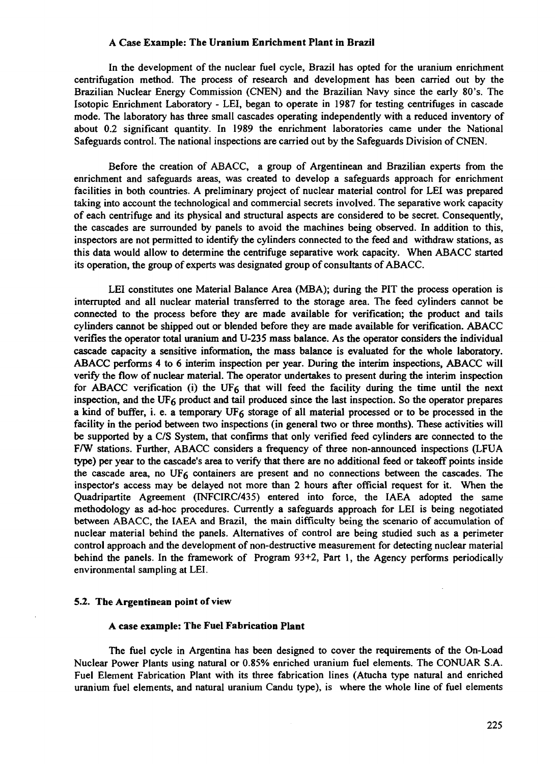#### A Case Example: The Uranium Enrichment Plant in Brazil

In the development of the nuclear fuel cycle, Brazil has opted for the uranium enrichment centrifugation method. The process of research and development has been carried out by the Brazilian Nuclear Energy Commission (CNEN) and the Brazilian Navy since the early 80's. The Isotopic Enrichment Laboratory - LEI, began to operate in 1987 for testing centrifuges in cascade mode. The laboratory has three small cascades operating independently with a reduced inventory of about 0.2 significant quantity. In 1989 the enrichment laboratories came under the National Safeguards control. The national inspections are carried out by the Safeguards Division of CNEN.

Before the creation of ABACC, a group of Argentinean and Brazilian experts from the enrichment and safeguards areas, was created to develop a safeguards approach for enrichment facilities in both countries. A preliminary project of nuclear material control for LEI was prepared taking into account the technological and commercial secrets involved. The separative work capacity of each centrifuge and its physical and structural aspects are considered to be secret. Consequently, the cascades are surrounded by panels to avoid the machines being observed. In addition to this, inspectors are not permitted to identify the cylinders connected to the feed and withdraw stations, as this data would allow to determine the centrifuge separative work capacity. When ABACC started its operation, the group of experts was designated group of consultants of ABACC.

LEI constitutes one Material Balance Area (MBA); during the PIT the process operation is interrupted and all nuclear material transferred to the storage area. The feed cylinders cannot be connected to the process before they are made available for verification; the product and tails cylinders cannot be shipped out or blended before they are made available for verification. ABACC verifies the operator total uranium and U-235 mass balance. As the operator considers the individual cascade capacity a sensitive information, the mass balance is evaluated for the whole laboratory. ABACC performs 4 to 6 interim inspection per year. During the interim inspections, ABACC will verify the flow of nuclear material. The operator undertakes to present during the interim inspection for ABACC verification (i) the UF<sub>6</sub> that will feed the facility during the time until the next inspection, and the UF<sub>6</sub> product and tail produced since the last inspection. So the operator prepares a kind of buffer, i. e. a temporary  $UF_6$  storage of all material processed or to be processed in the facility in the period between two inspections (in general two or three months). These activities will be supported by a C/S System, that confirms that only verified feed cylinders are connected to the F/W stations. Further, ABACC considers a frequency of three non-announced inspections (LFUA type) per year to the cascade's area to verify that there are no additional feed or takeoff points inside the cascade area, no  $UF<sub>6</sub>$  containers are present and no connections between the cascades. The inspector's access may be delayed not more than 2 hours after official request for it. When the Quadripartite Agreement (INFCIRC/435) entered into force, the IAEA adopted the same methodology as ad-hoc procedures. Currently a safeguards approach for LEI is being negotiated between ABACC, the IAEA and Brazil, the main difficulty being the scenario of accumulation of nuclear material behind the panels. Alternatives of control are being studied such as a perimeter control approach and the development of non-destructive measurement for detecting nuclear material behind the panels. In the framework of Program 93+2, Part 1, the Agency performs periodically environmental sampling at LEI.

#### 5.2. The Argentinean point of view

#### A case example: The Fuel Fabrication Plant

The fuel cycle in Argentina has been designed to cover the requirements of the On-Load Nuclear Power Plants using natural or 0.85% enriched uranium fuel elements. The CONUAR S.A. Fuel Element Fabrication Plant with its three fabrication lines (Atucha type natural and enriched uranium fuel elements, and natural uranium Candu type), is where the whole line of fuel elements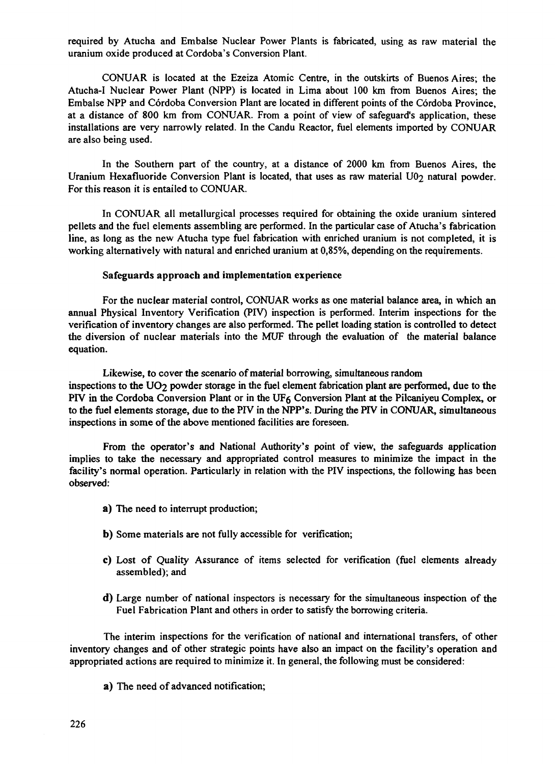required by Atucha and Embalse Nuclear Power Plants is fabricated, using as raw material the uranium oxide produced at Cordoba's Conversion Plant.

CONUAR is located at the Ezeiza Atomic Centre, in the outskirts of Buenos Aires; the Atucha-I Nuclear Power Plant (NPP) is located in Lima about 100 km from Buenos Aires; the Embalse NPP and Cordoba Conversion Plant are located in different points of the Cordoba Province, at a distance of 800 km from CONUAR. From a point of view of safeguard's application, these installations are very narrowly related. In the Candu Reactor, fuel elements imported by CONUAR are also being used.

In the Southern part of the country, at a distance of 2000 km from Buenos Aires, the Uranium Hexafluoride Conversion Plant is located, that uses as raw material  $U_0$  natural powder. For this reason it is entailed to CONUAR.

In CONUAR all metallurgical processes required for obtaining the oxide uranium sintered pellets and the fuel elements assembling are performed. In the particular case of Atucha's fabrication line, as long as the new Atucha type fuel fabrication with enriched uranium is not completed, it is working alternatively with natural and enriched uranium at 0,85%, depending on the requirements.

### **Safeguards approach and implementation** experience

For the nuclear material control, CONUAR works as one material balance area, in which an annual Physical Inventory Verification (PIV) inspection is performed. Interim inspections for the verification of inventory changes are also performed. The pellet loading station is controlled to detect the diversion of nuclear materials into the MUF through the evaluation of the material balance equation.

Likewise, to cover the scenario of material borrowing, simultaneous random inspections to the  $UO<sub>2</sub>$  powder storage in the fuel element fabrication plant are performed, due to the PIV in the Cordoba Conversion Plant or in the UF<sub>6</sub> Conversion Plant at the Pilcaniyeu Complex, or to the fuel elements storage, due to the PIV in the NPP's. During the PIV in CONUAR, simultaneous inspections in some of the above mentioned facilities are foreseen.

From the operator's and National Authority's point of view, the safeguards application implies to take the necessary and appropriated control measures to minimize the impact in the facility's normal operation. Particularly in relation with the PIV inspections, the following has been observed:

- a) The need to interrupt production;
- b) Some materials are not fully accessible for verification;
- c) Lost of Quality Assurance of items selected for verification (fuel elements already assembled); and
- d) Large number of national inspectors is necessary for the simultaneous inspection of the Fuel Fabrication Plant and others in order to satisfy the borrowing criteria.

The interim inspections for the verification of national and international transfers, of other inventory changes and of other strategic points have also an impact on the facility's operation and appropriated actions are required to minimize it. In general, the following must be considered:

a) The need of advanced notification;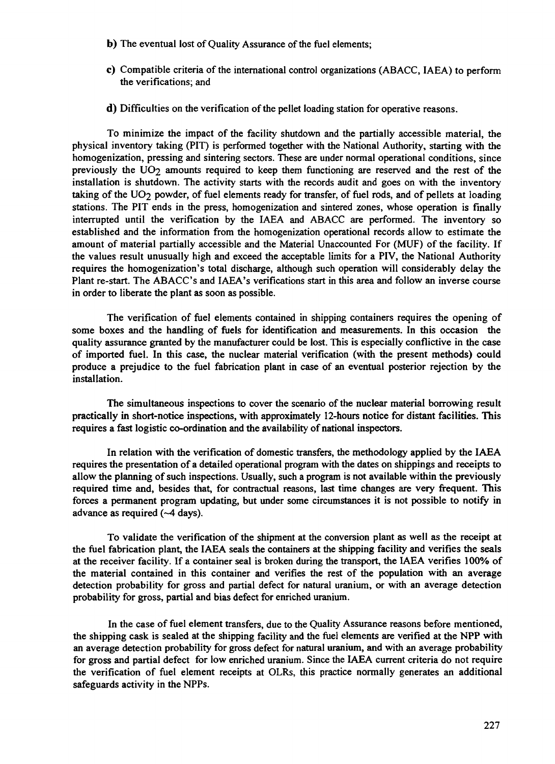- b) The eventual lost of Quality Assurance of the fuel elements;
- c) Compatible criteria of the international control organizations (ABACC, IAEA) to perform the verifications; and
- d) Difficulties on the verification of the pellet loading station for operative reasons.

To minimize the impact of the facility shutdown and the partially accessible material, the physical inventory taking (PIT) is performed together with the National Authority, starting with the homogenization, pressing and sintering sectors. These are under normal operational conditions, since previously the UO<sub>2</sub> amounts required to keep them functioning are reserved and the rest of the installation is shutdown. The activity starts with the records audit and goes on with the inventory taking of the  $UO<sub>2</sub>$  powder, of fuel elements ready for transfer, of fuel rods, and of pellets at loading stations. The PIT ends in the press, homogenization and sintered zones, whose operation is finally interrupted until the verification by the IAEA and ABACC are performed. The inventory so established and the information from the homogenization operational records allow to estimate the amount of material partially accessible and the Material Unaccounted For (MUF) of the facility. If the values result unusually high and exceed the acceptable limits for a PIV, the National Authority requires the homogenization's total discharge, although such operation will considerably delay the Plant re-start. The ABACC's and IAEA's verifications start in this area and follow an inverse course in order to liberate the plant as soon as possible.

The verification of fuel elements contained in shipping containers requires the opening of some boxes and the handling of fuels for identification and measurements. In this occasion the quality assurance granted by the manufacturer could be lost. This is especially conflictive in the case of imported fuel. In this case, the nuclear material verification (with the present methods) could produce a prejudice to the fuel fabrication plant in case of an eventual posterior rejection by the installation.

The simultaneous inspections to cover the scenario of the nuclear material borrowing result practically in short-notice inspections, with approximately 12-hours notice for distant facilities. This requires a fast logistic co-ordination and the availability of national inspectors.

In relation with the verification of domestic transfers, the methodology applied by the IAEA requires the presentation of a detailed operational program with the dates on shippings and receipts to allow the planning of such inspections. Usually, such a program is not available within the previously required time and, besides that, for contractual reasons, last time changes are very frequent. This forces a permanent program updating, but under some circumstances it is not possible to notify in advance as required (~4 days).

To validate the verification of the shipment at the conversion plant as well as the receipt at the fuel fabrication plant, the IAEA seals the containers at the shipping facility and verifies the seals at the receiver facility. If a container seal is broken during the transport, the IAEA verifies 100% of the material contained in this container and verifies the rest of the population with an average detection probability for gross and partial defect for natural uranium, or with an average detection probability for gross, partial and bias defect for enriched uranium.

In the case of fuel element transfers, due to the Quality Assurance reasons before mentioned, the shipping cask is sealed at the shipping facility and the fuel elements are verified at the NPP with an average detection probability for gross defect for natural uranium, and with an average probability for gross and partial defect for low enriched uranium. Since the IAEA current criteria do not require the verification of fuel element receipts at OLRs, this practice normally generates an additional safeguards activity in the NPPs.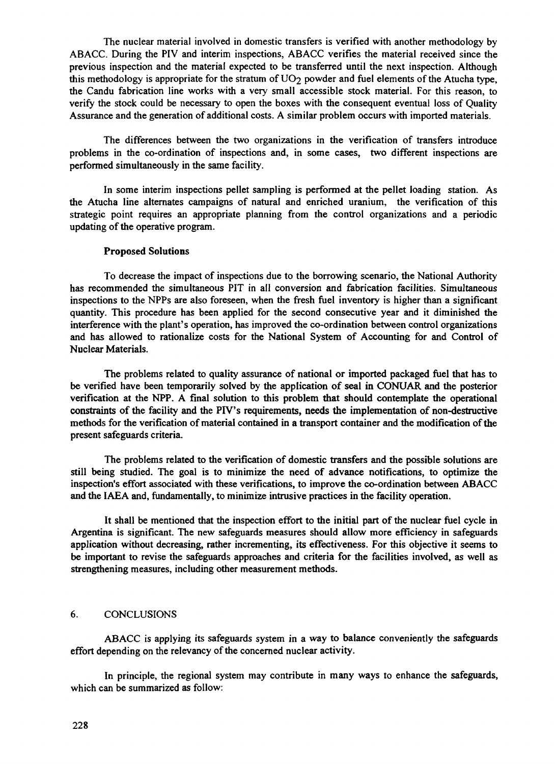The nuclear material involved in domestic transfers is verified with another methodology by ABACC. During the PIV and interim inspections, ABACC verifies the material received since the previous inspection and the material expected to be transferred until the next inspection. Although this methodology is appropriate for the stratum of  $UO<sub>2</sub>$  powder and fuel elements of the Atucha type, the Candu fabrication line works with a very small accessible stock material. For this reason, to verify the stock could be necessary to open the boxes with the consequent eventual loss of Quality Assurance and the generation of additional costs. A similar problem occurs with imported materials.

The differences between the two organizations in the verification of transfers introduce problems in the co-ordination of inspections and, in some cases, two different inspections are performed simultaneously in the same facility.

In some interim inspections pellet sampling is performed at the pellet loading station. As the Atucha line alternates campaigns of natural and enriched uranium, the verification of this strategic point requires an appropriate planning from the control organizations and a periodic updating of the operative program.

#### Proposed Solutions

To decrease the impact of inspections due to the borrowing scenario, the National Authority has recommended the simultaneous PIT in all conversion and fabrication facilities. Simultaneous inspections to the NPPs are also foreseen, when the fresh fuel inventory is higher than a significant quantity. This procedure has been applied for the second consecutive year and it diminished the interference with the plant's operation, has improved the co-ordination between control organizations and has allowed to rationalize costs for the National System of Accounting for and Control of Nuclear Materials.

The problems related to quality assurance of national or imported packaged fuel that has to be verified have been temporarily solved by the application of seal in CONUAR and the posterior verification at the NPP. A final solution to this problem that should contemplate the operational constraints of the facility and the PIV's requirements, needs the implementation of non-destructive methods for the verification of material contained in a transport container and the modification of the present safeguards criteria.

The problems related to the verification of domestic transfers and the possible solutions are still being studied. The goal is to minimize the need of advance notifications, to optimize the inspection's effort associated with these verifications, to improve the co-ordination between ABACC and the IAEA and, fundamentally, to minimize intrusive practices in the facility operation.

It shall be mentioned that the inspection effort to the initial part of the nuclear fuel cycle in Argentina is significant. The new safeguards measures should allow more efficiency in safeguards application without decreasing, rather incrementing, its effectiveness. For this objective it seems to be important to revise the safeguards approaches and criteria for the facilities involved, as well as strengthening measures, including other measurement methods.

### 6. CONCLUSIONS

ABACC is applying its safeguards system in a way to balance conveniently the safeguards effort depending on the relevancy of the concerned nuclear activity.

In principle, the regional system may contribute in many ways to enhance the safeguards, which can be summarized as follow: